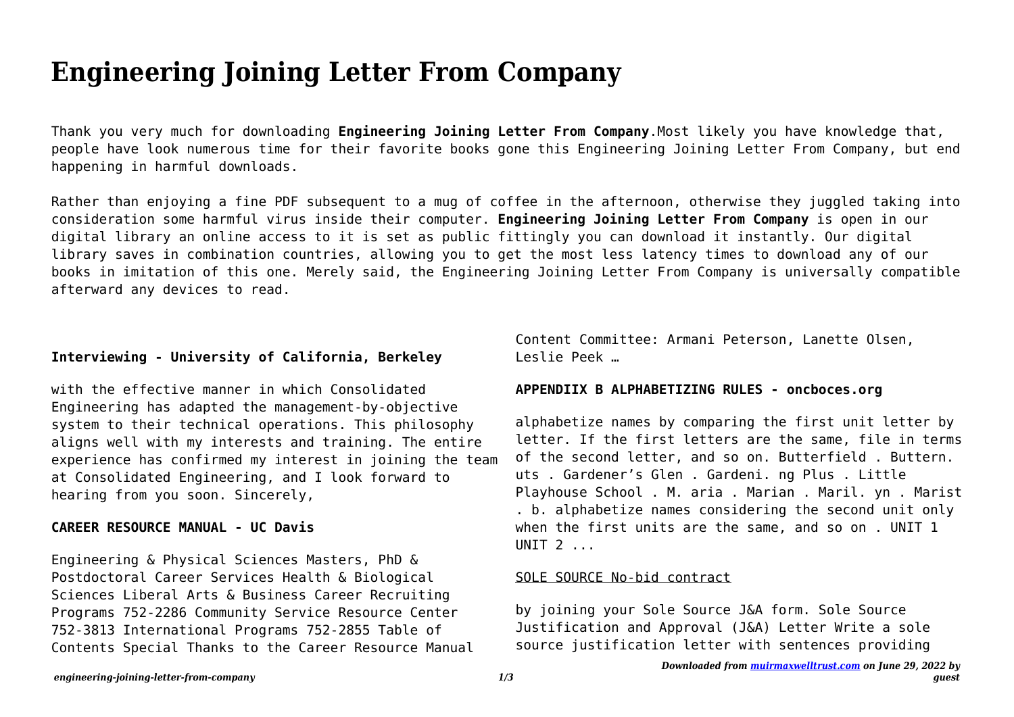# **Engineering Joining Letter From Company**

Thank you very much for downloading **Engineering Joining Letter From Company**.Most likely you have knowledge that, people have look numerous time for their favorite books gone this Engineering Joining Letter From Company, but end happening in harmful downloads.

Rather than enjoying a fine PDF subsequent to a mug of coffee in the afternoon, otherwise they juggled taking into consideration some harmful virus inside their computer. **Engineering Joining Letter From Company** is open in our digital library an online access to it is set as public fittingly you can download it instantly. Our digital library saves in combination countries, allowing you to get the most less latency times to download any of our books in imitation of this one. Merely said, the Engineering Joining Letter From Company is universally compatible afterward any devices to read.

### **Interviewing - University of California, Berkeley**

with the effective manner in which Consolidated Engineering has adapted the management-by-objective system to their technical operations. This philosophy aligns well with my interests and training. The entire experience has confirmed my interest in joining the team at Consolidated Engineering, and I look forward to hearing from you soon. Sincerely,

#### **CAREER RESOURCE MANUAL - UC Davis**

Engineering & Physical Sciences Masters, PhD & Postdoctoral Career Services Health & Biological Sciences Liberal Arts & Business Career Recruiting Programs 752-2286 Community Service Resource Center 752-3813 International Programs 752-2855 Table of Contents Special Thanks to the Career Resource Manual Content Committee: Armani Peterson, Lanette Olsen, Leslie Peek …

#### **APPENDIIX B ALPHABETIZING RULES - oncboces.org**

alphabetize names by comparing the first unit letter by letter. If the first letters are the same, file in terms of the second letter, and so on. Butterfield . Buttern. uts . Gardener's Glen . Gardeni. ng Plus . Little Playhouse School . M. aria . Marian . Maril. yn . Marist . b. alphabetize names considering the second unit only when the first units are the same, and so on . UNIT 1 UNIT 2 ...

#### SOLE SOURCE No-bid contract

by joining your Sole Source J&A form. Sole Source Justification and Approval (J&A) Letter Write a sole source justification letter with sentences providing

*guest*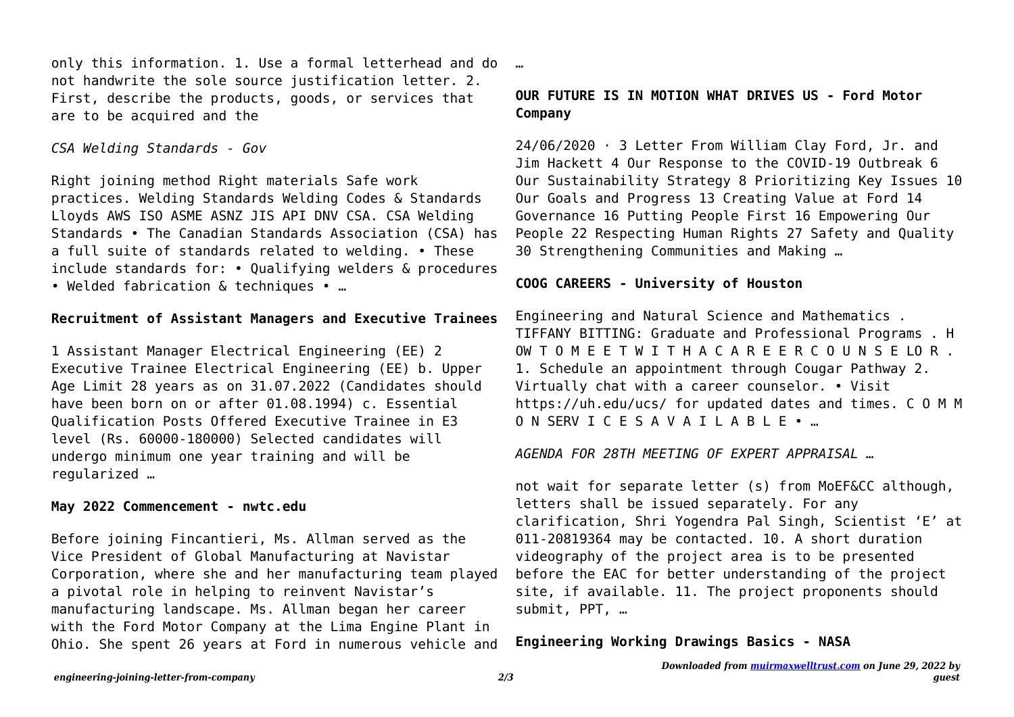only this information. 1. Use a formal letterhead and do not handwrite the sole source justification letter. 2. First, describe the products, goods, or services that are to be acquired and the

*CSA Welding Standards - Gov*

Right joining method Right materials Safe work practices. Welding Standards Welding Codes & Standards Lloyds AWS ISO ASME ASNZ JIS API DNV CSA. CSA Welding Standards • The Canadian Standards Association (CSA) has a full suite of standards related to welding. • These include standards for: • Qualifying welders & procedures • Welded fabrication & techniques • ...

## **Recruitment of Assistant Managers and Executive Trainees**

1 Assistant Manager Electrical Engineering (EE) 2 Executive Trainee Electrical Engineering (EE) b. Upper Age Limit 28 years as on 31.07.2022 (Candidates should have been born on or after 01.08.1994) c. Essential Qualification Posts Offered Executive Trainee in E3 level (Rs. 60000-180000) Selected candidates will undergo minimum one year training and will be regularized …

## **May 2022 Commencement - nwtc.edu**

Before joining Fincantieri, Ms. Allman served as the Vice President of Global Manufacturing at Navistar Corporation, where she and her manufacturing team played a pivotal role in helping to reinvent Navistar's manufacturing landscape. Ms. Allman began her career with the Ford Motor Company at the Lima Engine Plant in Ohio. She spent 26 years at Ford in numerous vehicle and

# **OUR FUTURE IS IN MOTION WHAT DRIVES US - Ford Motor Company**

24/06/2020 · 3 Letter From William Clay Ford, Jr. and Jim Hackett 4 Our Response to the COVID-19 Outbreak 6 Our Sustainability Strategy 8 Prioritizing Key Issues 10 Our Goals and Progress 13 Creating Value at Ford 14 Governance 16 Putting People First 16 Empowering Our People 22 Respecting Human Rights 27 Safety and Quality 30 Strengthening Communities and Making …

# **COOG CAREERS - University of Houston**

Engineering and Natural Science and Mathematics . TIFFANY BITTING: Graduate and Professional Programs . H OW T O M E E T W I T H A C A R E E R C O U N S E LO R . 1. Schedule an appointment through Cougar Pathway 2. Virtually chat with a career counselor. • Visit https://uh.edu/ucs/ for updated dates and times. C O M M O N SERV I C E S A V A I L A B L E • …

*AGENDA FOR 28TH MEETING OF EXPERT APPRAISAL …*

not wait for separate letter (s) from MoEF&CC although, letters shall be issued separately. For any clarification, Shri Yogendra Pal Singh, Scientist 'E' at 011-20819364 may be contacted. 10. A short duration videography of the project area is to be presented before the EAC for better understanding of the project site, if available. 11. The project proponents should submit, PPT, …

# **Engineering Working Drawings Basics - NASA**

…